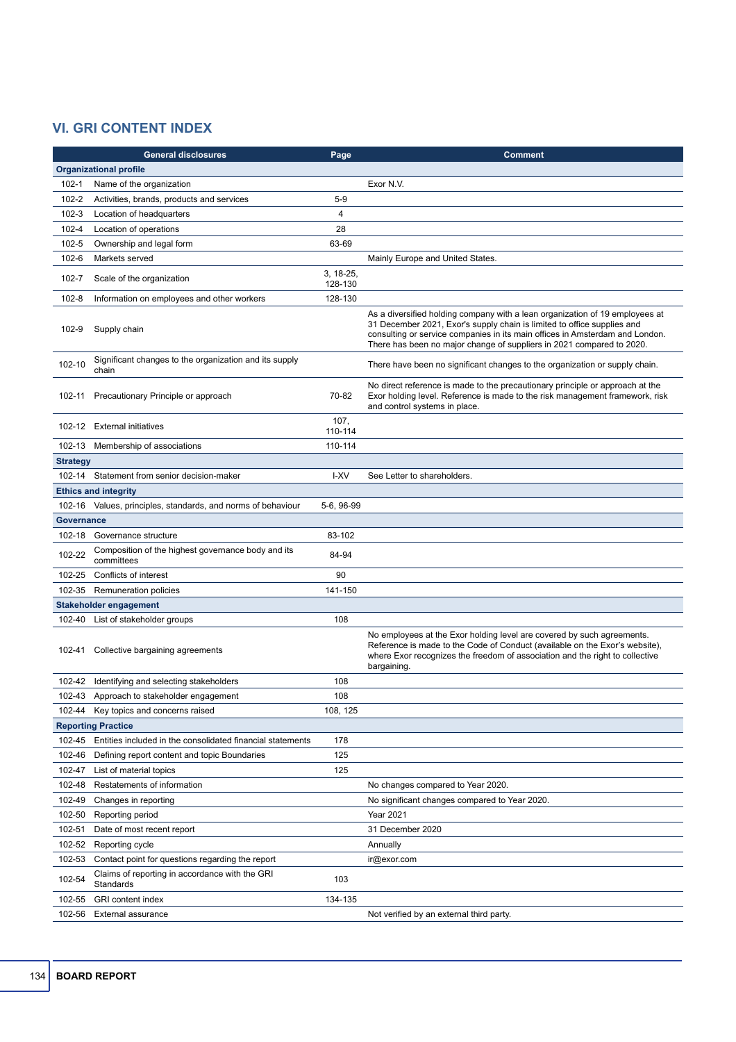## **VI. GRI CONTENT INDEX**

|                               | <b>General disclosures</b>                                       | Page            | <b>Comment</b>                                                                                                                                                                                                                                                                                                   |  |  |
|-------------------------------|------------------------------------------------------------------|-----------------|------------------------------------------------------------------------------------------------------------------------------------------------------------------------------------------------------------------------------------------------------------------------------------------------------------------|--|--|
| <b>Organizational profile</b> |                                                                  |                 |                                                                                                                                                                                                                                                                                                                  |  |  |
| $102 - 1$                     | Name of the organization                                         |                 | Exor N.V.                                                                                                                                                                                                                                                                                                        |  |  |
| $102 - 2$                     | Activities, brands, products and services                        | $5-9$           |                                                                                                                                                                                                                                                                                                                  |  |  |
| $102 - 3$                     | Location of headquarters                                         | 4               |                                                                                                                                                                                                                                                                                                                  |  |  |
| $102 - 4$                     | Location of operations                                           | 28              |                                                                                                                                                                                                                                                                                                                  |  |  |
| $102 - 5$                     | Ownership and legal form                                         | 63-69           |                                                                                                                                                                                                                                                                                                                  |  |  |
| $102 - 6$                     | Markets served                                                   |                 | Mainly Europe and United States.                                                                                                                                                                                                                                                                                 |  |  |
| 102-7                         |                                                                  | 3, 18-25,       |                                                                                                                                                                                                                                                                                                                  |  |  |
|                               | Scale of the organization                                        | 128-130         |                                                                                                                                                                                                                                                                                                                  |  |  |
| $102 - 8$                     | Information on employees and other workers                       | 128-130         |                                                                                                                                                                                                                                                                                                                  |  |  |
| 102-9                         | Supply chain                                                     |                 | As a diversified holding company with a lean organization of 19 employees at<br>31 December 2021, Exor's supply chain is limited to office supplies and<br>consulting or service companies in its main offices in Amsterdam and London.<br>There has been no major change of suppliers in 2021 compared to 2020. |  |  |
| 102-10                        | Significant changes to the organization and its supply<br>chain  |                 | There have been no significant changes to the organization or supply chain.                                                                                                                                                                                                                                      |  |  |
| 102-11                        | Precautionary Principle or approach                              | 70-82           | No direct reference is made to the precautionary principle or approach at the<br>Exor holding level. Reference is made to the risk management framework, risk<br>and control systems in place.                                                                                                                   |  |  |
| 102-12                        | <b>External initiatives</b>                                      | 107,<br>110-114 |                                                                                                                                                                                                                                                                                                                  |  |  |
| 102-13                        | Membership of associations                                       | 110-114         |                                                                                                                                                                                                                                                                                                                  |  |  |
| <b>Strategy</b>               |                                                                  |                 |                                                                                                                                                                                                                                                                                                                  |  |  |
|                               | 102-14 Statement from senior decision-maker                      | I-XV            | See Letter to shareholders.                                                                                                                                                                                                                                                                                      |  |  |
|                               | <b>Ethics and integrity</b>                                      |                 |                                                                                                                                                                                                                                                                                                                  |  |  |
| 102-16                        | Values, principles, standards, and norms of behaviour            | 5-6, 96-99      |                                                                                                                                                                                                                                                                                                                  |  |  |
| <b>Governance</b>             |                                                                  |                 |                                                                                                                                                                                                                                                                                                                  |  |  |
| 102-18                        | Governance structure                                             | 83-102          |                                                                                                                                                                                                                                                                                                                  |  |  |
| 102-22                        | Composition of the highest governance body and its<br>committees | 84-94           |                                                                                                                                                                                                                                                                                                                  |  |  |
| 102-25                        | Conflicts of interest                                            | 90              |                                                                                                                                                                                                                                                                                                                  |  |  |
| 102-35                        | Remuneration policies                                            | 141-150         |                                                                                                                                                                                                                                                                                                                  |  |  |
| Stakeholder engagement        |                                                                  |                 |                                                                                                                                                                                                                                                                                                                  |  |  |
| 102-40                        | List of stakeholder groups                                       | 108             |                                                                                                                                                                                                                                                                                                                  |  |  |
|                               | 102-41 Collective bargaining agreements                          |                 | No employees at the Exor holding level are covered by such agreements.<br>Reference is made to the Code of Conduct (available on the Exor's website),<br>where Exor recognizes the freedom of association and the right to collective<br>bargaining.                                                             |  |  |
|                               | 102-42 Identifying and selecting stakeholders                    | 108             |                                                                                                                                                                                                                                                                                                                  |  |  |
| 102-43                        | Approach to stakeholder engagement                               | 108             |                                                                                                                                                                                                                                                                                                                  |  |  |
| 102-44                        | Key topics and concerns raised                                   | 108, 125        |                                                                                                                                                                                                                                                                                                                  |  |  |
|                               | <b>Reporting Practice</b>                                        |                 |                                                                                                                                                                                                                                                                                                                  |  |  |
| 102-45                        | Entities included in the consolidated financial statements       | 178             |                                                                                                                                                                                                                                                                                                                  |  |  |
| 102-46                        | Defining report content and topic Boundaries                     | 125             |                                                                                                                                                                                                                                                                                                                  |  |  |
| 102-47                        | List of material topics                                          | 125             |                                                                                                                                                                                                                                                                                                                  |  |  |
| 102-48                        | Restatements of information                                      |                 | No changes compared to Year 2020.                                                                                                                                                                                                                                                                                |  |  |
| 102-49                        | Changes in reporting                                             |                 | No significant changes compared to Year 2020.                                                                                                                                                                                                                                                                    |  |  |
| 102-50                        | Reporting period                                                 |                 | Year 2021                                                                                                                                                                                                                                                                                                        |  |  |
| 102-51                        | Date of most recent report                                       |                 | 31 December 2020                                                                                                                                                                                                                                                                                                 |  |  |
| 102-52                        | Reporting cycle                                                  |                 | Annually                                                                                                                                                                                                                                                                                                         |  |  |
| 102-53                        | Contact point for questions regarding the report                 |                 | ir@exor.com                                                                                                                                                                                                                                                                                                      |  |  |
| 102-54                        | Claims of reporting in accordance with the GRI<br>Standards      | 103             |                                                                                                                                                                                                                                                                                                                  |  |  |
| 102-55                        | GRI content index                                                | 134-135         |                                                                                                                                                                                                                                                                                                                  |  |  |
| 102-56                        | External assurance                                               |                 | Not verified by an external third party.                                                                                                                                                                                                                                                                         |  |  |